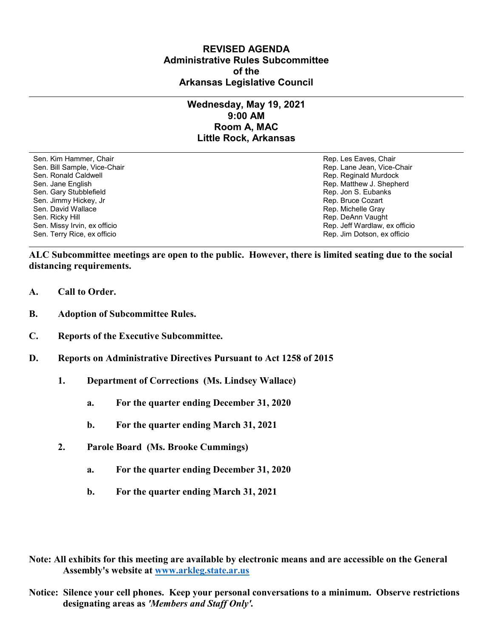## **REVISED AGENDA Administrative Rules Subcommittee of the Arkansas Legislative Council**

## **Wednesday, May 19, 2021 9:00 AM Room A, MAC Little Rock, Arkansas**

Sen. Kim Hammer, Chair Rep. Les Eaves, Chair Rep. Les Eaves, Chair Rep. Les Eaves, Chair Sen. Bill Sample, Vice-Chair November 1999, New York 1999, New York 1999, New York 1999, New York 1999, New York 1999 Sen. Ronald Caldwell **Rep. Reginald Murdock** Rep. Reginald Murdock Sen. Jane English Rep. Matthew J. Shepherd Sen. Gary Stubblefield **Rep. 3. Eubanks** Sen. Gary Stubblefield Sen. Jimmy Hickey, Jr (1999) (1999) (1999) (1999) (1999) (1999) (1999) (1999) (1999) (1999) (1999) (1999) (199<br>Sen. David Wallace (1999) (1999) (1999) (1999) (1999) (1999) (1999) (1999) (1999) (1999) (1999) (1999) (1999) Sen. David Wallace New York 1989, Sen. David Wallace New York 1989, Sen. Richelle Gray Nichelle Gray<br>Sen. Ricky Hill Sen. Ricky Hill Sen. Ricky Hill Sen. Rep. DeAnn Vaugh Sen. Ricky Hill Rep. DeAnn Vaught (1999) Sen. Ricky Hill Rep. DeAnn Vaught (1999) Sen. Missy Irvin, ex officio Sen. Terry Rice, ex officio Rep. Jim Dotson, ex officio

Rep. Jeff Wardlaw, ex officio

**ALC Subcommittee meetings are open to the public. However, there is limited seating due to the social distancing requirements.**

- **A. Call to Order.**
- **B. Adoption of Subcommittee Rules.**
- **C. Reports of the Executive Subcommittee.**
- **D. Reports on Administrative Directives Pursuant to Act 1258 of 2015**
	- **1. Department of Corrections (Ms. Lindsey Wallace)**
		- **a. For the quarter ending December 31, 2020**
		- **b. For the quarter ending March 31, 2021**
	- **2. Parole Board (Ms. Brooke Cummings)**
		- **a. For the quarter ending December 31, 2020**
		- **b. For the quarter ending March 31, 2021**

**Note: All exhibits for this meeting are available by electronic means and are accessible on the General Assembly's website at [www.arkleg.state.ar.us](http://www.arkleg.state.ar.us)**

**Notice: Silence your cell phones. Keep your personal conversations to a minimum. Observe restrictions designating areas as** *'Members and Staff Only'.*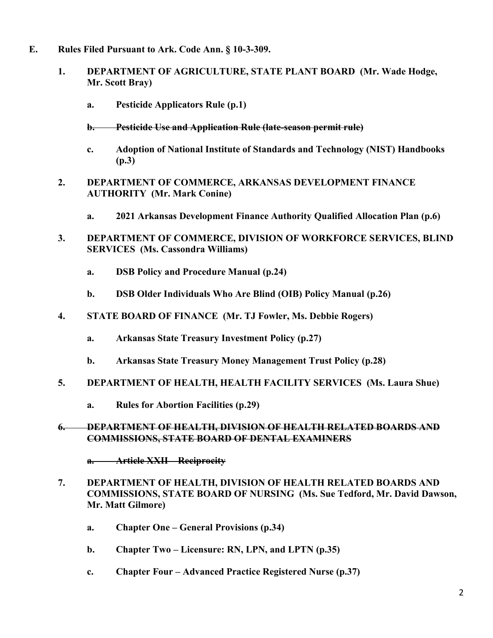- **E. Rules Filed Pursuant to Ark. Code Ann. § 10-3-309.**
	- **1. DEPARTMENT OF AGRICULTURE, STATE PLANT BOARD (Mr. Wade Hodge, Mr. Scott Bray)**
		- **a. Pesticide Applicators Rule (p.1)**
		- **b. Pesticide Use and Application Rule (late-season permit rule)**
		- **c. Adoption of National Institute of Standards and Technology (NIST) Handbooks (p.3)**
	- **2. DEPARTMENT OF COMMERCE, ARKANSAS DEVELOPMENT FINANCE AUTHORITY (Mr. Mark Conine)**
		- **a. 2021 Arkansas Development Finance Authority Qualified Allocation Plan (p.6)**
	- **3. DEPARTMENT OF COMMERCE, DIVISION OF WORKFORCE SERVICES, BLIND SERVICES (Ms. Cassondra Williams)**
		- **a. DSB Policy and Procedure Manual (p.24)**
		- **b. DSB Older Individuals Who Are Blind (OIB) Policy Manual (p.26)**
	- **4. STATE BOARD OF FINANCE (Mr. TJ Fowler, Ms. Debbie Rogers)**
		- **a. Arkansas State Treasury Investment Policy (p.27)**
		- **b. Arkansas State Treasury Money Management Trust Policy (p.28)**
	- **5. DEPARTMENT OF HEALTH, HEALTH FACILITY SERVICES (Ms. Laura Shue)**
		- **a. Rules for Abortion Facilities (p.29)**

## **6. DEPARTMENT OF HEALTH, DIVISION OF HEALTH RELATED BOARDS AND COMMISSIONS, STATE BOARD OF DENTAL EXAMINERS**

**a. Article XXII – Reciprocity**

- **7. DEPARTMENT OF HEALTH, DIVISION OF HEALTH RELATED BOARDS AND COMMISSIONS, STATE BOARD OF NURSING (Ms. Sue Tedford, Mr. David Dawson, Mr. Matt Gilmore)**
	- **a. Chapter One – General Provisions (p.34)**
	- **b. Chapter Two – Licensure: RN, LPN, and LPTN (p.35)**
	- **c. Chapter Four – Advanced Practice Registered Nurse (p.37)**